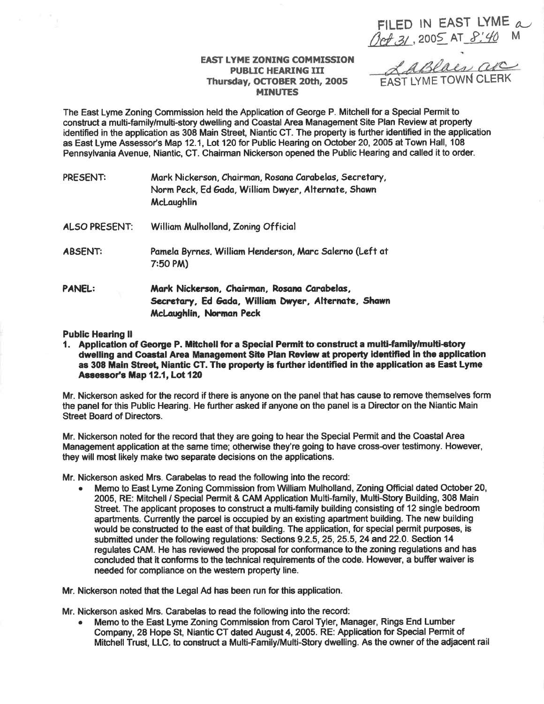FILED IN EAST LYME  $\alpha$ Oct 31, 2005 AT 8:40 M

## EAST LYME ZONING COMMISSION PUBLIC HEARING III Thursday, OCTOBER 20th, 2005 **MINUTES**

<u>Laslaes</u> are

The East Lyme Zoning Commission held the Application of George P. Mitchell for a Special Permit to construct a multi-family/multi-story dwelling and Coastal Area Management Site Plan Review at property identified in the application as 308 Main Street, Niantic CT. The property is further identified in the application as East Lyme Assessor's Map 12.1, Lot 120 for Public Hearing on October 20, 2005 at Town Hall, 108 Pennsylvania Avenue, Niantic, CT. Chairman Nickerson opened the Public Hearing and called it to order.

| PRESENT:      | Mark Nickerson, Chairman, Rosana Carabelas, Secretary,<br>Norm Peck, Ed Gada, William Dwyer, Alternate, Shawn<br>McLaughlin   |
|---------------|-------------------------------------------------------------------------------------------------------------------------------|
| ALSO PRESENT: | William Mulholland, Zoning Official                                                                                           |
| ABSENT:       | Pamela Byrnes, William Henderson, Marc Salerno (Left at<br>$7:50$ PM)                                                         |
| PANEL:        | Mark Nickerson, Chairman, Rosana Carabelas,<br>Secretary, Ed Gada, William Dwyer, Alternate, Shawn<br>McLaughlin, Norman Peck |

## Public Hearing II

1. Application of George P. Mitchell for a Special Permit to construct a multi-familylmulti-etory dwelling and Coastal Area Management Site Plan Review at property identified in the application as 308 Main Street, Niantic CT. The property is further identified in the application as East Lyme Assessor's Map 12.1, Lot 120

Mr. Nickerson asked for the record if there is anyone on the panel that has cause to remove themselves form the panel for this Public Hearing. He further asked if anyone on the panel is a Director on the Niantic Main Street Board of Directors.

Mr. Nickerson noted for the record that they are going to hear the Special Permit and the Coastal Area Management application at the same time; othenrvise they're going to have cross-over testimony. However, they will most likely make two separate decisions on the applications.

Mr. Nickerson asked Mrs. Carabelas to read the following into the record:

Memo to East Lyme Zoning Commission from William Mulholland, Zoning Official dated October 20, 2005, RE: Mitchell / Special Permit & CAM Application Multi-family, Multi-Story Building, 308 Main Street. The applicant proposes to construct a multi-family building consisting of 12 single bedroom apartments. Cunently the parcel is occupied by an existing apartment building. The new building would be constructed to the east of that building. The application, for special permit purposes, is submitted under the following regulations: Sections 9.2.5, 25, 25.5, 24 and 22.0. Section 14 regulates CAM. He has reviewed the proposal for conformance to the zoning regulations and has concluded that it conforms to the technical requirements of the code. However, a buffer waiver is needed for compliance on the western property line.

Mr. Nickerson noted that the Legal Ad has been run for this application.

Mr. Nickerson asked Mrs. Garabelas to read the following into the record:

Memo to the East Lyme Zoning Commission from Carol Tyler, Manager, Rings End Lumber Company, 28 Hope St, Niantic CT dated August 4, 2005. RE: Application for Special Permit of Mitchell Trust, LLC. to construct a Multi-Family/Multi-Story dwelling. As the owner of the adjacent rail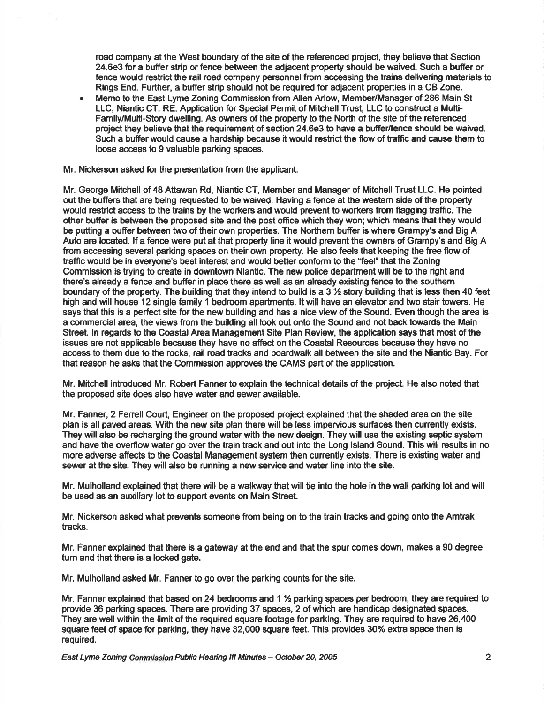road company at the West boundary of the site of the referenced project, they believe that Section 24.6e3 for a buffer strip or fence between the adjacent property should be waived. Such a buffer or fence would restrict the rail road company personnel from accessing the trains delivering materials to Rings End. Further, a buffer strip should not be required for adjacent properties in a CB Zone.

a Memo to the East Lyme Zoning Commission from Allen Arlow, Member/Managerof 286 Main St LLC, Niantic CT. RE: Application for Special Permit of Mitchell Trust, LLC to construct a Multi-Family/Multi-Story dwelling. As owners of the property to the North of the site of the referenced project they believe that the requirement of section 24.6e3 to have a buffer/fence should be waived. Such a bufier would cause a hardship because it would restrict the flow of traffic and cause them to loose access to 9 valuable parking spaces.

Mr. Nickerson asked for the presentation from the applicant.

Mr. George Mitchell of 48 Attawan Rd, Niantic CT, Member and Manager of Mitchell Trust LLC. He pointed out the buffers that are being requested to be waived. Having a fence at the westem side of the property would restrict access to the trains by the workers and would prevent to workers from flagging traffic. The other buffer is between the proposed site and the post office which they won; which means that they would be putting a buffer between two of their own properties. The Northern buffer is where Grampy's and Big A Auto are located. lf a fence were put at that property line it would prevent the owners of Grampy's and Big A from accessing several parking spaces on their own property. He also feels that keeping the free flow of trafftc would be in everyone's best interest and would better conform to the'feel" that the Zoning Commission is trying to create in downtown Niantic. The new police department will be to the right and there's already a fence and buffer in place there as well as an already existing fence to the southem boundary of the property. The building that they intend to build is a  $3\frac{1}{2}$  story building that is less then 40 feet high and will house 12 single family 1 bedroom apartments. It will have an elevator and two stair towers. He says that this is a perfect site for the new building and has a nice view of the Sound. Even though the area is a commercial area, the views from the building all look out onto the Sound and not back towards the Main Street. In regards to the Coastal Area Management Site Plan Review, the application says that most of the issues are not applicable because they have no affect on the Coastal Resources because they have no access to them due to the rocks, rail road tracks and boardwalk all between the site and the Niantic Bay. For that reason he asks that the Commission approves the CAMS part of the application.

Mr. Mitchell introduced Mr. Robert Fanner to explain the technical details of the project. He also noted that the proposed site does also have water and sewer available.

Mr. Fanner, 2 Fenell Court, Engineer on the proposed project explained that the shaded area on the site plan is all paved areas. With the new site plan there will be less impervious surfaces then currently exists. They will also be recharging the ground water with the new design. They will use the existing septic system and have the overflow water go over the train track and out into the Long Island Sound. This will results in no more adverse affects to the Coastal Management system then currently exists. There is existing water and sewer at the site. They will also be running a new service and water line into the site.

Mr. Mulholland explained that there will be a walkway that will tie into the hole in the wall parking lot and will be used as an auxiliary lot to support events on Main Street.

Mr. Nickerson asked what prevents someone fiom being on to the train tracks and going onto the Amtrak tracks.

Mr. Fanner explained that there is a gateway at the end and that the spur comes down, makes a 90 degree tum and that there is a locked gate.

Mr. Mulholland asked Mr. Fanner to go over the parking counts for the site.

Mr. Fanner explained that based on 24 bedrooms and 1  $\frac{1}{2}$  parking spaces per bedroom, they are required to provide 36 parking spaces. There are providing 37 spaces, 2 of which are hdndicap designated spaces. They are well within the limit of the required square footage for parking. They are required to have 26,440 square feet of space for parking, they have 32,000 square feet. This provides 30% extra space then is required.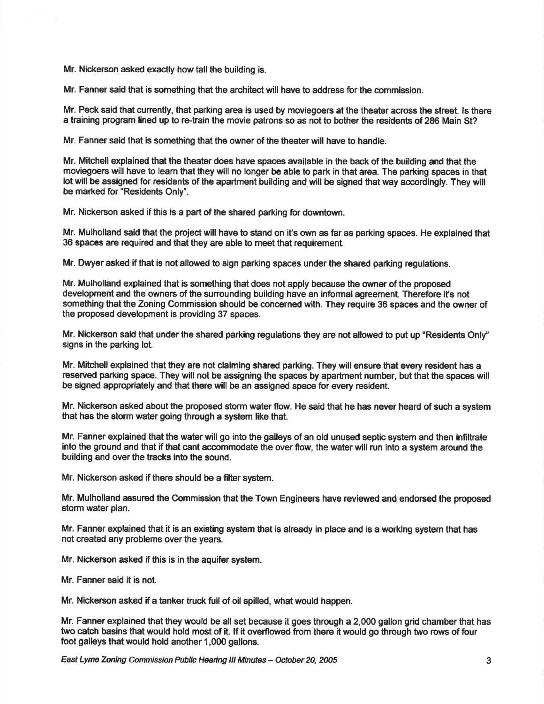Mr. Nickerson asked exactly how tall the building is.

Mr. Fanner said that is something that the architect will have to address for the commission.

Mr. Peck said that cunently, that parking area is used by moviegoers at the theater across the street. ls there a training program lined up to re-train the movie patrons so as not to bother the residents of 286 Main St?

Mr. Fanner said that is something that the owner of the theater will have to handle.

Mr. Mitchell explained that the theater does have spaces available in the back of the building and that the moviegoers will have to leam that they will no longer be able to park in that area. The parking spaces in that lot will be assigned for residents of the apartment building and wlll be slgned that way accordingly. They will be marked for "Residents Only".

Mr. Nickerson asked if this is a part of the shared parking for downtown.

Mr. Mulholland said that the project will have to stand on it's own as tar as parking spaces. He explained that 36 spaces are required and that they are able to meet that requirement.

Mr. Dwyer asked if that is not allowed to sign parking spaces under the shared parking regulations.

Mr. Mulholland explained that is something that does not apply because the owner of the proposed development and the owners of the surrounding building have an informal agreement. Therefore it's not something that the Zoning Commission should be concerned with. They require 36 spaces and the owner of the proposed development is providing 37 spaces.

Mr. Nickerson said that under the shared parking regulations they are not allowed to put up "Residents Only" signs in the parking lot.

Mr. Mitchell explained that they are not claiming shared parking. They will ensure that every resident has a reserved parking space. They will not be assigning the spaces by apartment number, but that the spaces will be signed appropriately and that there will be an assigned space for every resident.

Mr. Nickerson asked about the proposed storm water flow. He said that he has never heard of such a system that has the storm water going through a system like that.

Mr. Fanner explained that the water will go into the galleys of an old unused septic system and then infiltrate into the ground and that if that cant accommodate the over flow, the water will run into a system around the building and over the tracks lnto the sound.

Mr. Nickerson asked if there should be a filter system.

Mr. Mulholland assured the Commission that the Town Engineers have reviewed and endorsed the proposed storm water plan.

Mr. Fanner explained that it is an existing system that is already in place and is a working system that has not created any problems over the years.

Mr. Nickerson asked if this is in the aquifer system.

Mr. Fanner said it is not.

Mr. Nickerson asked if a tanker truck full of oil spilled, what would happen.

Mr. Fanner explained that they would be all set because it goes through a 2,000 gallon grid chamber that has two catch basins that would hold most of it. lf it overflowed ftom there it would go through two rows of four foot galleys that would hold another 1,000 gallons.

East Lyme Zoning Commission Public Hearing III Minutes - October 20, 2005 3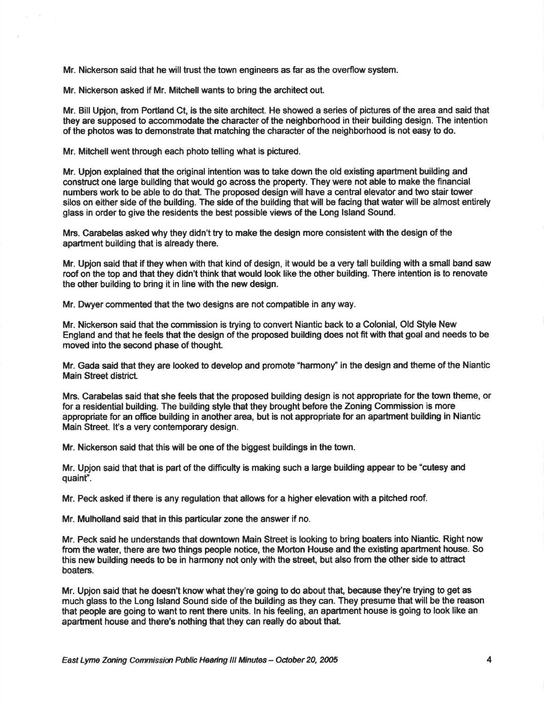Mr. Nickerson said that he will trust the town engineers as far as the overflow system.

Mr. Nickerson asked if Mr. Mitchell wants to bring the architect out.

Mr. Bill Upjon, from Portland Gt, is the site architect. He showed a series of pictures of the area and said that they are supposed to accommodate the character of the neighborhood in their building design. The intention of the photos was to demonstrate that matching the character of the neighborhood is not easy to do.

Mr. Mitchell went through each photo telling what is pictured.

Mr. Upion explained that the original intention was to take down the old existing apartment building and construct one large bulldlng that would go across the property. They were not able to make the financial numbers work to be able to do that. The proposed design will have a central elevator and two stair tower silos on either side of the building. The side of the building that will be facing that water will be almost entirely glass in order to give the residents the best possible views of the Long lsland Sound.

Mrs. Garabelas asked why they didn't try to make the design more consistent with the design of the apartment building that is already there.

Mr. Upjon said that ff they when with that kind of design, it would be a very tall building with a small band saw roof on the top and that they didn't think that would look like the other building. There intention is to renovate the other building to bring it in line with the new design.

Mr. Dwyer commented that the two designs are not compatible in any way.

Mr. Nickerson said that the commission is trying to convert Niantic back to a Colonial, Old Style New England and that he feels that the design of the proposed building does not fit with that goal and needs to be moved into the second phase of thought.

Mr. Gada said that they are looked to develop and promote "harmony" in the design and theme of the Niantic Main Street district.

Mrs. Carabelas said that she feels that the proposed building design is not appropriate for the town theme, or for a residential building. The building style that they brought before the Zoning Commission is more appropriate for an offtce building in another area, but is not appropriate for an apartment building in Niantic Main Street. It's a very contemporary design.

Mr. Nickerson said that this will be one of the biggest buildings in the town.

Mr. Upjon said that that is part of the difftculty is making such a large building appear to be "cutesy and quaint".

Mr. Peck asked if there is any regulation that allows for a higher elevation with a pitched roof.

Mr. Mulholland said that in this particular zone the answer if no.

Mr. Peck said he understands that downtown Main Street is looking to bring boaters into Niantic. Right now from the water, there are two things people notice, the Morton House and the existing apartment house. So this new building needs to be in harmony not only with the street, but also from the other side to attract boaters.

Mr. Upjon said that he doesn't know what they're going to do about that, because they're trying to get as much glass to the Long lsland Sound side of the building as they can. They presume that will be the reason that people are going to want to rent there units. ln his feeling, an apartment house is going to look like an apartment house and there's nothing that they can really do about that.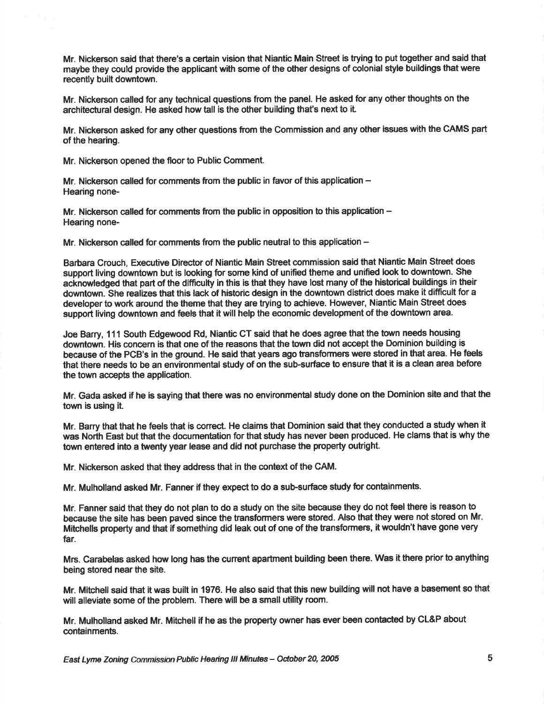Mr. Nickerson said that there's a certain vision that Niantic Main Street is trying to put together and said that maybe they could provide the applicant with some of the other designs of colonial style buildings that were recently built downtown.

Mr. Nickerson called for any technical questions from the panel. He asked for any other thoughts on the architectural design. He asked how tall is the other building that's next to it.

Mr. Nickerson asked for any other questions ftom the Commission and any other issues with the GAMS part of the hearing.

Mr. Nickerson opened the floor to Public Comment.

Mr. Nickerson called for comments from the public in favor of this application -Hearing none-

Mr. Nickerson called for comments from the public in opposition to this application -Hearing none-

Mr. Nickerson called for comments from the public neutral to this application  $-$ 

Barbara Crouch, Executive Director of Niantic Main Street commission said that Niantic Main Street does support living downtown but is looking for some kind of unified theme and unified look to downtown. She acknowledged that part of the difficulty in this is that they have lost many of the historical buildings in their downtown. She realizes that this lack of historic design in the downtown district does make it difficult for a developer to work around the theme that they are trying to achieve. However, Niantic Main Street does support living downtown and feels that it will help the economic development of the downtown area.

Joe Barry, 111 South Edgewood Rd, Niantic GT said that he does agree that the town needs housing downtown. His concern is that one of the reasons that the town did not accept the Dominion building is because of the PCB's in the ground. He said that years ago transformers were stored in that area. He feels that there needs to be an environmental study of on the sub-surface to ensure that it is a clean area before the town accepts the application.

Mr. Gada asked if he is saying that there was no environmental study done on the Dominion site and that the town is using it.

Mr. Barry that that he feels that is conect. He claims that Dominion said that they conducted a study when it was North East but that the documentation for that study has never been produced. He clams that is why the town entered Into a twenty year lease and did not purchase the property outright.

Mr. Nickerson asked that they address that in the context of the CAM.

Mr. Mulholland asked Mr. Fanner if they expect to do a sub-surface study for containments.

Mr. Fanner said that they do not plan to do a study on the site because they do not feel there is reason to because the site has been paved since the transformers were stored. Also that they were not stored on Mr. Mitchells property and that if something did leak out of one of the transformere, it wouldn't have gone very far.

Mrs. Carabelas asked how long has the current apartment building been there. Was it there prior to anything being stored near the site.

Mr. Mitchell said that it was built in 1976. He also said that this new building will not have a basement so that will alleviate some of the problem. There will be a small utility room.

Mr. Mulholland asked Mr. Mitchell if he as the property owner has ever been contacted by CL&P about containments.